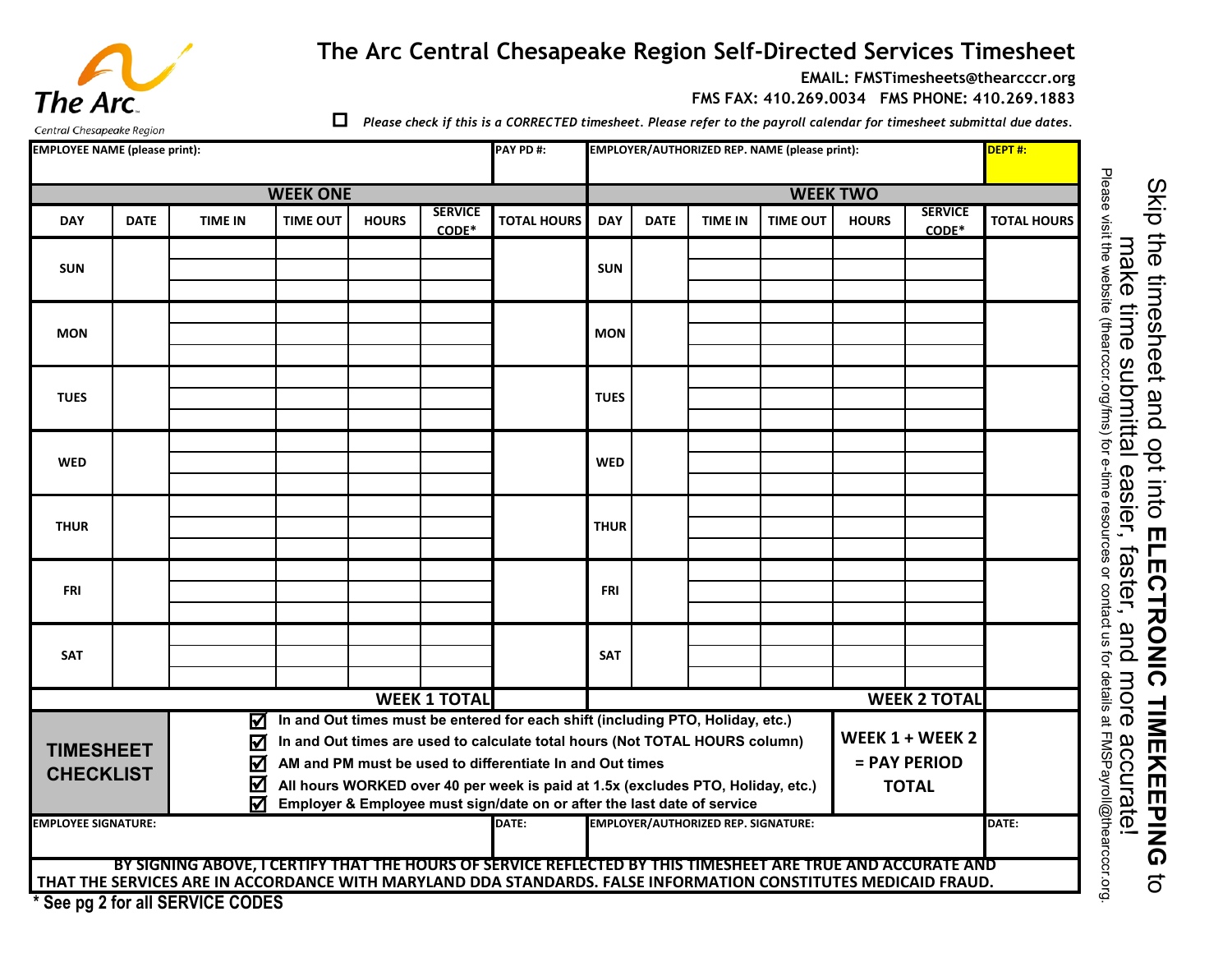## **The Arc Central Chesapeake Region Self-Directed Services Timesheet**

**EMAIL: FMSTimesheets@thearcccr.org**

**FMS FAX: 410.269.0034 FMS PHONE: 410.269.1883**

Central Chesapeake Reaion

The Arc.

*Please check if this is a CORRECTED timesheet. Please refer to the payroll calendar for timesheet submittal due dates.*

| <b>EMPLOYEE NAME (please print):</b><br>PAY PD #: |                 |                                           |                                                                                                                                                                                                                                                                                                                                                                                         |              |                         |                                                                                                                                                                                                                               |             | EMPLOYER/AUTHORIZED REP. NAME (please print): |                 |                 |              |                                                 | DEPT#:             |  |  |
|---------------------------------------------------|-----------------|-------------------------------------------|-----------------------------------------------------------------------------------------------------------------------------------------------------------------------------------------------------------------------------------------------------------------------------------------------------------------------------------------------------------------------------------------|--------------|-------------------------|-------------------------------------------------------------------------------------------------------------------------------------------------------------------------------------------------------------------------------|-------------|-----------------------------------------------|-----------------|-----------------|--------------|-------------------------------------------------|--------------------|--|--|
|                                                   | <b>WEEK ONE</b> |                                           |                                                                                                                                                                                                                                                                                                                                                                                         |              |                         |                                                                                                                                                                                                                               |             |                                               | <b>WEEK TWO</b> |                 |              |                                                 |                    |  |  |
| <b>DAY</b>                                        | <b>DATE</b>     | <b>TIME IN</b>                            | <b>TIME OUT</b>                                                                                                                                                                                                                                                                                                                                                                         | <b>HOURS</b> | <b>SERVICE</b><br>CODE* | <b>TOTAL HOURS</b>                                                                                                                                                                                                            | <b>DAY</b>  | <b>DATE</b>                                   | <b>TIME IN</b>  | <b>TIME OUT</b> | <b>HOURS</b> | <b>SERVICE</b><br>CODE*                         | <b>TOTAL HOURS</b> |  |  |
| <b>SUN</b>                                        |                 |                                           |                                                                                                                                                                                                                                                                                                                                                                                         |              |                         |                                                                                                                                                                                                                               | <b>SUN</b>  |                                               |                 |                 |              |                                                 |                    |  |  |
| <b>MON</b>                                        |                 |                                           |                                                                                                                                                                                                                                                                                                                                                                                         |              |                         |                                                                                                                                                                                                                               | <b>MON</b>  |                                               |                 |                 |              |                                                 |                    |  |  |
| <b>TUES</b>                                       |                 |                                           |                                                                                                                                                                                                                                                                                                                                                                                         |              |                         |                                                                                                                                                                                                                               | <b>TUES</b> |                                               |                 |                 |              |                                                 |                    |  |  |
| <b>WED</b>                                        |                 |                                           |                                                                                                                                                                                                                                                                                                                                                                                         |              |                         |                                                                                                                                                                                                                               | <b>WED</b>  |                                               |                 |                 |              |                                                 |                    |  |  |
| <b>THUR</b>                                       |                 |                                           |                                                                                                                                                                                                                                                                                                                                                                                         |              |                         |                                                                                                                                                                                                                               | <b>THUR</b> |                                               |                 |                 |              |                                                 |                    |  |  |
| <b>FRI</b>                                        |                 |                                           |                                                                                                                                                                                                                                                                                                                                                                                         |              |                         |                                                                                                                                                                                                                               | <b>FRI</b>  |                                               |                 |                 |              |                                                 |                    |  |  |
| <b>SAT</b>                                        |                 |                                           |                                                                                                                                                                                                                                                                                                                                                                                         |              |                         |                                                                                                                                                                                                                               | <b>SAT</b>  |                                               |                 |                 |              |                                                 |                    |  |  |
| <b>WEEK 1 TOTAL</b>                               |                 |                                           |                                                                                                                                                                                                                                                                                                                                                                                         |              |                         |                                                                                                                                                                                                                               |             | <b>WEEK 2 TOTAL</b>                           |                 |                 |              |                                                 |                    |  |  |
| <b>TIMESHEET</b><br><b>CHECKLIST</b>              |                 | ⊠<br>$\boldsymbol{\nabla}$<br>☑<br>☑<br>⊠ | In and Out times must be entered for each shift (including PTO, Holiday, etc.)<br>In and Out times are used to calculate total hours (Not TOTAL HOURS column)<br>AM and PM must be used to differentiate In and Out times<br>All hours WORKED over 40 per week is paid at 1.5x (excludes PTO, Holiday, etc.)<br>Employer & Employee must sign/date on or after the last date of service |              |                         |                                                                                                                                                                                                                               |             |                                               |                 |                 |              | WEEK 1 + WEEK 2<br>= PAY PERIOD<br><b>TOTAL</b> |                    |  |  |
| <b>EMPLOYEE SIGNATURE:</b>                        |                 |                                           |                                                                                                                                                                                                                                                                                                                                                                                         |              | DATE:                   | <b>EMPLOYER/AUTHORIZED REP. SIGNATURE:</b>                                                                                                                                                                                    |             |                                               |                 |                 | DATE:        |                                                 |                    |  |  |
|                                                   |                 | * See pg 2 for all SERVICE CODES          |                                                                                                                                                                                                                                                                                                                                                                                         |              |                         | BY SIGNING ABOVE, I CERTIFY THAT THE HOURS OF SERVICE REFLECTED BY THIS TIMESHEET ARE TRUE AND ACCURATE AND<br>THAT THE SERVICES ARE IN ACCORDANCE WITH MARYLAND DDA STANDARDS. FALSE INFORMATION CONSTITUTES MEDICAID FRAUD. |             |                                               |                 |                 |              |                                                 |                    |  |  |

Please visit the website (thearcccr.org/fms) for e-time resources or contact us for details at FMSPayroll@thearcccr.org. Skip the sheet and opt into ELECTRONIC TIMEKEEPING the timesheet and opt into make time submittal easier, faster, and more accurate! make time submittal easier, faster, and more accurate! **ELECTRONIC TIMEKEEPING**  $\vec{o}$